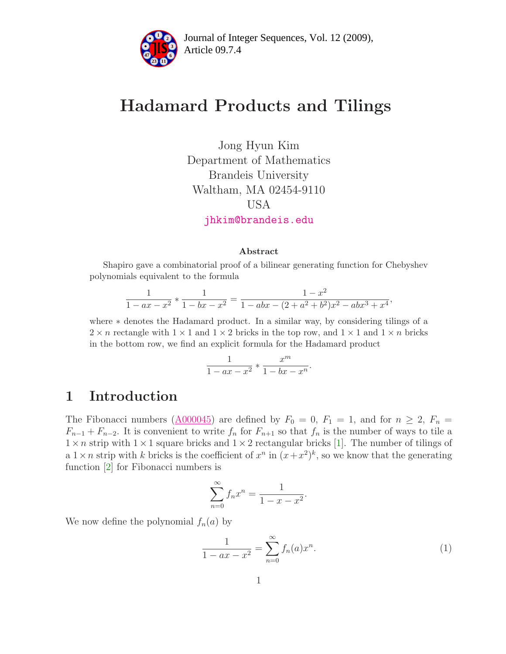

# Hadamard Products and Tilings

Jong Hyun Kim Department of Mathematics Brandeis University Waltham, MA 02454-9110 USA [jhkim@brandeis.edu](mailto:jhkim@brandeis.edu)

#### Abstract

Shapiro gave a combinatorial proof of a bilinear generating function for Chebyshev polynomials equivalent to the formula

$$
\frac{1}{1 - ax - x^2} * \frac{1}{1 - bx - x^2} = \frac{1 - x^2}{1 - abx - (2 + a^2 + b^2)x^2 - abx^3 + x^4}
$$

where ∗ denotes the Hadamard product. In a similar way, by considering tilings of a  $2 \times n$  rectangle with  $1 \times 1$  and  $1 \times 2$  bricks in the top row, and  $1 \times 1$  and  $1 \times n$  bricks in the bottom row, we find an explicit formula for the Hadamard product

$$
\frac{1}{1-ax-x^2} * \frac{x^m}{1-bx-x^n}.
$$

#### 1 Introduction

The Fibonacci numbers  $(A000045)$  are defined by  $F_0 = 0$ ,  $F_1 = 1$ , and for  $n \ge 2$ ,  $F_n =$  $F_{n-1} + F_{n-2}$ . It is convenient to write  $f_n$  for  $F_{n+1}$  so that  $f_n$  is the number of ways to tile a  $1 \times n$  strip with  $1 \times 1$  square bricks and  $1 \times 2$  rectangular bricks [\[1\]](#page-11-0). The number of tilings of a  $1 \times n$  strip with k bricks is the coefficient of  $x^n$  in  $(x+x^2)^k$ , so we know that the generating function [\[2\]](#page-11-1) for Fibonacci numbers is

$$
\sum_{n=0}^{\infty} f_n x^n = \frac{1}{1 - x - x^2}
$$

We now define the polynomial  $f_n(a)$  by

<span id="page-0-0"></span>
$$
\frac{1}{1 - ax - x^2} = \sum_{n=0}^{\infty} f_n(a) x^n.
$$
 (1)

.

,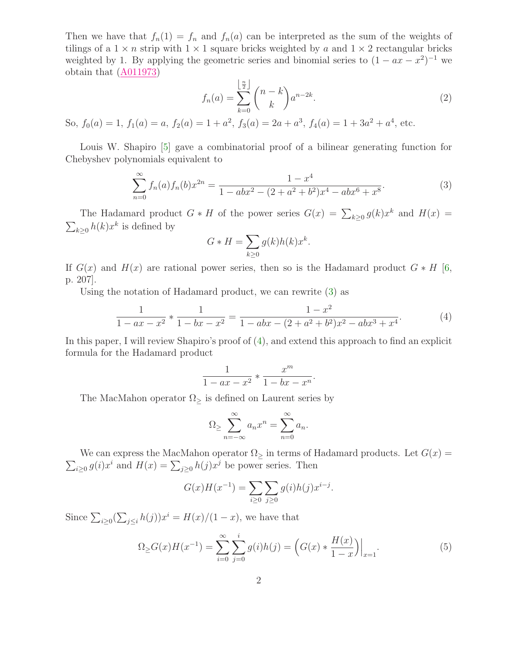<span id="page-1-2"></span>Then we have that  $f_n(1) = f_n$  and  $f_n(a)$  can be interpreted as the sum of the weights of tilings of a  $1 \times n$  strip with  $1 \times 1$  square bricks weighted by a and  $1 \times 2$  rectangular bricks weighted by 1. By applying the geometric series and binomial series to  $(1 - ax - x^2)^{-1}$  we obtain that [\(A011973\)](http://www.research.att.com/cgi-bin/access.cgi/as/~njas/sequences/eisA.cgi?Anum=A011973)

$$
f_n(a) = \sum_{k=0}^{\left\lfloor \frac{n}{2} \right\rfloor} {n-k \choose k} a^{n-2k}.
$$
 (2)

So,  $f_0(a) = 1$ ,  $f_1(a) = a$ ,  $f_2(a) = 1 + a^2$ ,  $f_3(a) = 2a + a^3$ ,  $f_4(a) = 1 + 3a^2 + a^4$ , etc.

Louis W. Shapiro [\[5\]](#page-12-0) gave a combinatorial proof of a bilinear generating function for Chebyshev polynomials equivalent to

<span id="page-1-0"></span>
$$
\sum_{n=0}^{\infty} f_n(a) f_n(b) x^{2n} = \frac{1 - x^4}{1 - abx^2 - (2 + a^2 + b^2)x^4 - abx^6 + x^8}.
$$
\n(3)

The Hadamard product  $G * H$  of the power series  $G(x) = \sum_{k \geq 0} g(k)x^k$  and  $H(x) =$  $\sum_{k\geq 0} h(k)x^k$  is defined by

<span id="page-1-1"></span>
$$
G * H = \sum_{k \ge 0} g(k)h(k)x^{k}.
$$

If  $G(x)$  and  $H(x)$  are rational power series, then so is the Hadamard product  $G * H$  [\[6,](#page-12-1) p. 207].

Using the notation of Hadamard product, we can rewrite [\(3\)](#page-1-0) as

$$
\frac{1}{1 - ax - x^2} * \frac{1}{1 - bx - x^2} = \frac{1 - x^2}{1 - abx - (2 + a^2 + b^2)x^2 - abx^3 + x^4}.
$$
(4)

.

In this paper, I will review Shapiro's proof of [\(4\)](#page-1-1), and extend this approach to find an explicit formula for the Hadamard product

$$
\frac{1}{1 - ax - x^2} * \frac{x^m}{1 - bx - x^n}
$$

The MacMahon operator  $\Omega$ <sub>≥</sub> is defined on Laurent series by

$$
\Omega_{\geq} \sum_{n=-\infty}^{\infty} a_n x^n = \sum_{n=0}^{\infty} a_n.
$$

 $\sum_{i\geq 0} g(i)x^i$  and  $H(x) = \sum_{j\geq 0} h(j)x^j$  be power series. Then We can express the MacMahon operator  $\Omega$ <sub>2</sub> in terms of Hadamard products. Let  $G(x)$  =

<span id="page-1-3"></span>
$$
G(x)H(x^{-1}) = \sum_{i \ge 0} \sum_{j \ge 0} g(i)h(j)x^{i-j}.
$$

Since  $\sum_{i\geq 0} (\sum_{j\leq i} h(j))x^i = H(x)/(1-x)$ , we have that

$$
\Omega \ge G(x)H(x^{-1}) = \sum_{i=0}^{\infty} \sum_{j=0}^{i} g(i)h(j) = \left( G(x) * \frac{H(x)}{1-x} \right) \Big|_{x=1}.
$$
\n(5)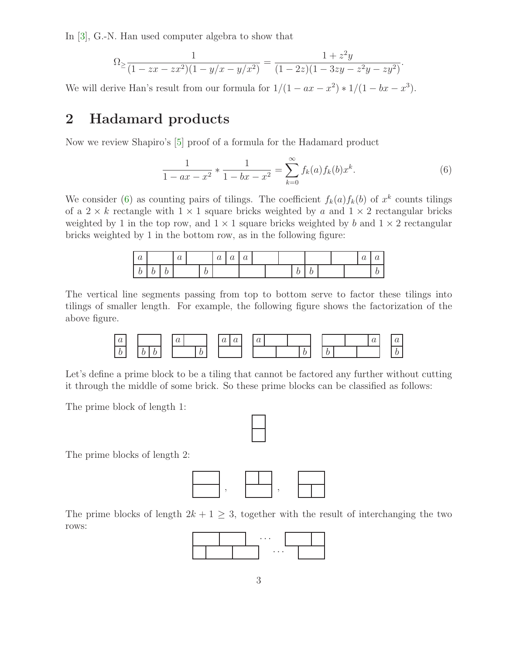In [\[3\]](#page-11-2), G.-N. Han used computer algebra to show that

$$
\Omega_{\geq \frac{1}{(1-zx-zx^2)(1-y/x-y/x^2)}} = \frac{1+z^2y}{(1-2z)(1-3zy-z^2y-zy^2)}.
$$

We will derive Han's result from our formula for  $1/(1 - ax - x^2) * 1/(1 - bx - x^3)$ .

### 2 Hadamard products

Now we review Shapiro's [\[5\]](#page-12-0) proof of a formula for the Hadamard product

<span id="page-2-0"></span>
$$
\frac{1}{1 - ax - x^2} * \frac{1}{1 - bx - x^2} = \sum_{k=0}^{\infty} f_k(a) f_k(b) x^k.
$$
 (6)

We consider [\(6\)](#page-2-0) as counting pairs of tilings. The coefficient  $f_k(a) f_k(b)$  of  $x^k$  counts tilings of a  $2 \times k$  rectangle with  $1 \times 1$  square bricks weighted by a and  $1 \times 2$  rectangular bricks weighted by 1 in the top row, and  $1 \times 1$  square bricks weighted by b and  $1 \times 2$  rectangular bricks weighted by 1 in the bottom row, as in the following figure:

| $\sim$<br>$\bm{u}$ |   |   | ∼<br>$\bm{u}$ |   | ∼<br>$\boldsymbol{\omega}$ | ∼<br>$\omega$ | $\sim$<br>$\bm{u}$ |  |   |  |  | r.<br>$\boldsymbol{\omega}$ | w |
|--------------------|---|---|---------------|---|----------------------------|---------------|--------------------|--|---|--|--|-----------------------------|---|
| ັ                  | ັ | ◡ |               | v |                            |               |                    |  | ◡ |  |  |                             |   |

The vertical line segments passing from top to bottom serve to factor these tilings into tilings of smaller length. For example, the following figure shows the factorization of the above figure.



Let's define a prime block to be a tiling that cannot be factored any further without cutting it through the middle of some brick. So these prime blocks can be classified as follows:

The prime block of length 1:

The prime blocks of length 2:



The prime blocks of length  $2k + 1 \geq 3$ , together with the result of interchanging the two rows:

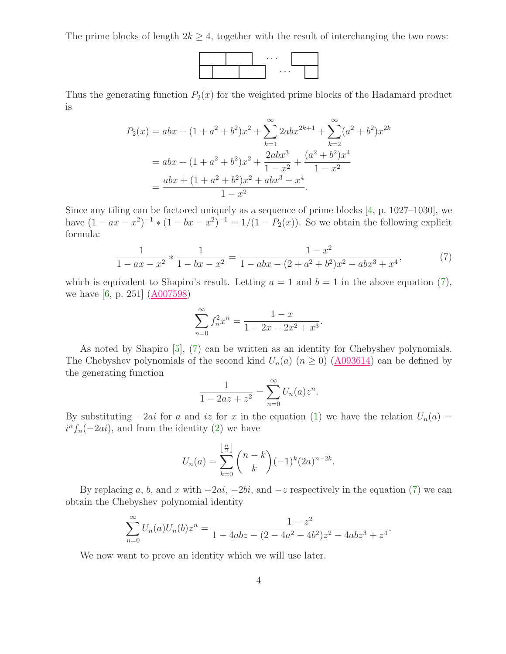The prime blocks of length  $2k \geq 4$ , together with the result of interchanging the two rows:



Thus the generating function  $P_2(x)$  for the weighted prime blocks of the Hadamard product is

$$
P_2(x) = abx + (1 + a^2 + b^2)x^2 + \sum_{k=1}^{\infty} 2abx^{2k+1} + \sum_{k=2}^{\infty} (a^2 + b^2)x^{2k}
$$
  
=  $abx + (1 + a^2 + b^2)x^2 + \frac{2abx^3}{1 - x^2} + \frac{(a^2 + b^2)x^4}{1 - x^2}$   
=  $\frac{abx + (1 + a^2 + b^2)x^2 + abx^3 - x^4}{1 - x^2}$ .

<span id="page-3-0"></span>Since any tiling can be factored uniquely as a sequence of prime blocks [\[4,](#page-11-3) p. 1027–1030], we have  $(1 - ax - x^2)^{-1} * (1 - bx - x^2)^{-1} = 1/(1 - P_2(x))$ . So we obtain the following explicit formula:

$$
\frac{1}{1 - ax - x^2} * \frac{1}{1 - bx - x^2} = \frac{1 - x^2}{1 - abx - (2 + a^2 + b^2)x^2 - abx^3 + x^4},\tag{7}
$$

which is equivalent to Shapiro's result. Letting  $a = 1$  and  $b = 1$  in the above equation [\(7\)](#page-3-0), we have [\[6,](#page-12-1) p. 251]  $(A007598)$ 

$$
\sum_{n=0}^{\infty} f_n^2 x^n = \frac{1-x}{1-2x-2x^2+x^3}.
$$

As noted by Shapiro [\[5\]](#page-12-0), [\(7\)](#page-3-0) can be written as an identity for Chebyshev polynomials. The Chebyshev polynomials of the second kind  $U_n(a)$   $(n \ge 0)$   $(\underline{A093614})$  can be defined by the generating function

$$
\frac{1}{1 - 2az + z^2} = \sum_{n=0}^{\infty} U_n(a) z^n.
$$

By substituting  $-2ai$  for a and iz for x in the equation [\(1\)](#page-0-0) we have the relation  $U_n(a)$  =  $i^n f_n(-2ai)$ , and from the identity [\(2\)](#page-1-2) we have

$$
U_n(a) = \sum_{k=0}^{\left\lfloor \frac{n}{2} \right\rfloor} {n-k \choose k} (-1)^k (2a)^{n-2k}.
$$

By replacing a, b, and x with  $-2ai$ ,  $-2bi$ , and  $-z$  respectively in the equation [\(7\)](#page-3-0) we can obtain the Chebyshev polynomial identity

$$
\sum_{n=0}^{\infty} U_n(a)U_n(b)z^n = \frac{1-z^2}{1-4abz - (2-4a^2-4b^2)z^2-4abz^3+z^4}.
$$

<span id="page-3-1"></span>We now want to prove an identity which we will use later.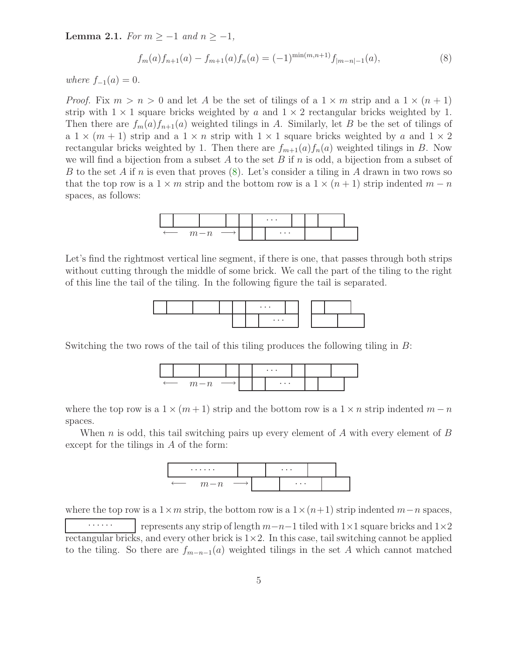**Lemma 2.1.** For  $m \ge -1$  and  $n \ge -1$ ,

<span id="page-4-0"></span>
$$
f_m(a)f_{n+1}(a) - f_{m+1}(a)f_n(a) = (-1)^{\min(m,n+1)} f_{|m-n|-1}(a),
$$
\n(8)

where  $f_{-1}(a) = 0$ .

*Proof.* Fix  $m > n > 0$  and let A be the set of tilings of a  $1 \times m$  strip and a  $1 \times (n+1)$ strip with  $1 \times 1$  square bricks weighted by a and  $1 \times 2$  rectangular bricks weighted by 1. Then there are  $f_m(a)f_{n+1}(a)$  weighted tilings in A. Similarly, let B be the set of tilings of a  $1 \times (m + 1)$  strip and a  $1 \times n$  strip with  $1 \times 1$  square bricks weighted by a and  $1 \times 2$ rectangular bricks weighted by 1. Then there are  $f_{m+1}(a) f_n(a)$  weighted tilings in B. Now we will find a bijection from a subset A to the set B if n is odd, a bijection from a subset of B to the set A if n is even that proves  $(8)$ . Let's consider a tiling in A drawn in two rows so that the top row is a  $1 \times m$  strip and the bottom row is a  $1 \times (n+1)$  strip indented  $m-n$ spaces, as follows:



Let's find the rightmost vertical line segment, if there is one, that passes through both strips without cutting through the middle of some brick. We call the part of the tiling to the right of this line the tail of the tiling. In the following figure the tail is separated.



Switching the two rows of the tail of this tiling produces the following tiling in B:



where the top row is a  $1 \times (m+1)$  strip and the bottom row is a  $1 \times n$  strip indented  $m-n$ spaces.

When n is odd, this tail switching pairs up every element of A with every element of B except for the tilings in A of the form:



where the top row is a  $1 \times m$  strip, the bottom row is a  $1 \times (n+1)$  strip indented  $m-n$  spaces,

 $\cdots$  | represents any strip of length  $m-n-1$  tiled with 1×1 square bricks and 1×2 rectangular bricks, and every other brick is  $1\times 2$ . In this case, tail switching cannot be applied to the tiling. So there are  $f_{m-n-1}(a)$  weighted tilings in the set A which cannot matched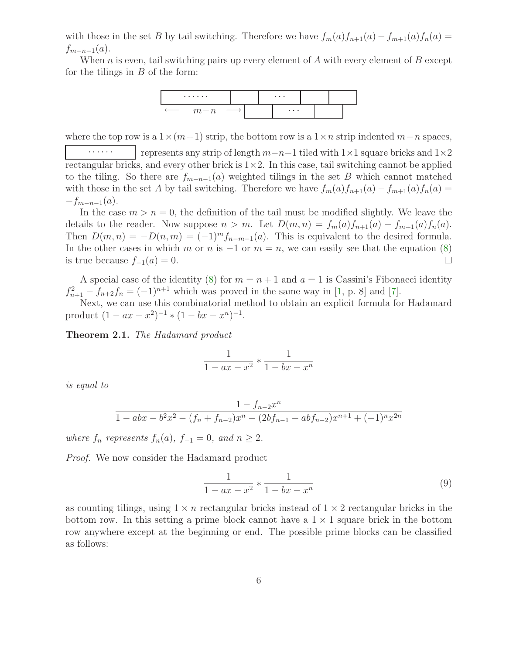with those in the set B by tail switching. Therefore we have  $f_m(a)f_{n+1}(a) - f_{m+1}(a)f_n(a) =$  $f_{m-n-1}(a)$ .

When  $n$  is even, tail switching pairs up every element of  $A$  with every element of  $B$  except for the tilings in  $B$  of the form:



where the top row is a  $1 \times (m+1)$  strip, the bottom row is a  $1 \times n$  strip indented  $m-n$  spaces,

 $\cdots$  | represents any strip of length  $m-n-1$  tiled with 1×1 square bricks and 1×2 rectangular bricks, and every other brick is  $1\times 2$ . In this case, tail switching cannot be applied to the tiling. So there are  $f_{m-n-1}(a)$  weighted tilings in the set B which cannot matched with those in the set A by tail switching. Therefore we have  $f_m(a)f_{n+1}(a) - f_{m+1}(a)f_n(a) =$  $-f_{m-n-1}(a)$ .

In the case  $m > n = 0$ , the definition of the tail must be modified slightly. We leave the details to the reader. Now suppose  $n > m$ . Let  $D(m, n) = f_m(a) f_{n+1}(a) - f_{m+1}(a) f_n(a)$ . Then  $D(m, n) = -D(n, m) = (-1)^m f_{n-m-1}(a)$ . This is equivalent to the desired formula. In the other cases in which m or n is  $-1$  or  $m = n$ , we can easily see that the equation [\(8\)](#page-4-0) is true because  $f_{-1}(a) = 0$ .  $\Box$ 

A special case of the identity [\(8\)](#page-4-0) for  $m = n + 1$  and  $a = 1$  is Cassini's Fibonacci identity  $f_{n+1}^2 - f_{n+2}f_n = (-1)^{n+1}$  which was proved in the same way in [\[1,](#page-11-0) p. 8] and [\[7\]](#page-12-2).

<span id="page-5-1"></span>Next, we can use this combinatorial method to obtain an explicit formula for Hadamard product  $(1 - ax - x^2)^{-1} * (1 - bx - x^n)^{-1}$ .

Theorem 2.1. The Hadamard product

$$
\frac{1}{1 - ax - x^2} * \frac{1}{1 - bx - x^n}
$$

is equal to

$$
\frac{1 - f_{n-2}x^n}{1 - abx - b^2x^2 - (f_n + f_{n-2})x^n - (2bf_{n-1} - abf_{n-2})x^{n+1} + (-1)^n x^{2n}}
$$

where  $f_n$  represents  $f_n(a)$ ,  $f_{-1} = 0$ , and  $n \geq 2$ .

Proof. We now consider the Hadamard product

<span id="page-5-0"></span>
$$
\frac{1}{1 - ax - x^2} * \frac{1}{1 - bx - x^n}
$$
(9)

as counting tilings, using  $1 \times n$  rectangular bricks instead of  $1 \times 2$  rectangular bricks in the bottom row. In this setting a prime block cannot have a  $1 \times 1$  square brick in the bottom row anywhere except at the beginning or end. The possible prime blocks can be classified as follows: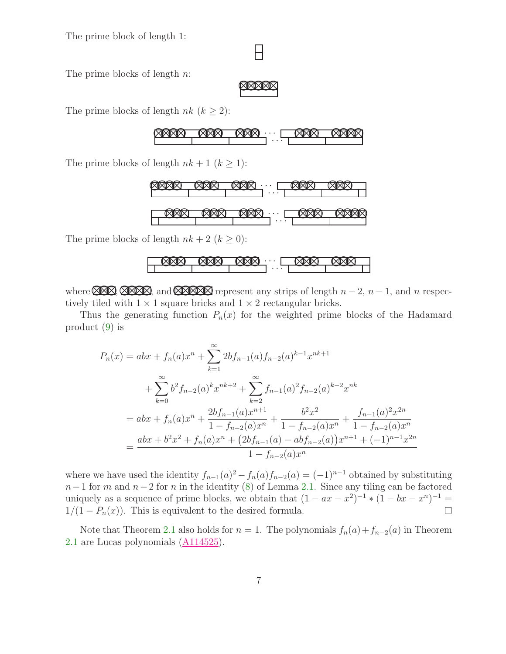The prime block of length 1:

## Н

The prime blocks of length *n*:

NNNNN

The prime blocks of length  $nk$   $(k \geq 2)$ :

NNNN NNN NNN · · · NNN NNNN · · ·

The prime blocks of length  $nk + 1$   $(k \geq 1)$ :



The prime blocks of length  $nk + 2$   $(k \ge 0)$ :

NNN NNN NNN · · · NNN NNN · · ·

where  $\Box$ ,  $\Box$   $\Box$ , and  $\Box$  represent any strips of length  $n-2$ ,  $n-1$ , and n respectively tiled with  $1 \times 1$  square bricks and  $1 \times 2$  rectangular bricks.

Thus the generating function  $P_n(x)$  for the weighted prime blocks of the Hadamard product [\(9\)](#page-5-0) is

$$
P_n(x) = abx + f_n(a)x^n + \sum_{k=1}^{\infty} 2bf_{n-1}(a)f_{n-2}(a)^{k-1}x^{nk+1}
$$
  
+ 
$$
\sum_{k=0}^{\infty} b^2 f_{n-2}(a)^k x^{nk+2} + \sum_{k=2}^{\infty} f_{n-1}(a)^2 f_{n-2}(a)^{k-2} x^{nk}
$$
  
= 
$$
abx + f_n(a)x^n + \frac{2bf_{n-1}(a)x^{n+1}}{1 - f_{n-2}(a)x^n} + \frac{b^2x^2}{1 - f_{n-2}(a)x^n} + \frac{f_{n-1}(a)^2x^{2n}}{1 - f_{n-2}(a)x^n}
$$
  
= 
$$
\frac{abx + b^2x^2 + f_n(a)x^n + (2bf_{n-1}(a) - abf_{n-2}(a))x^{n+1} + (-1)^{n-1}x^{2n}}{1 - f_{n-2}(a)x^n}
$$

where we have used the identity  $f_{n-1}(a)^2 - f_n(a) f_{n-2}(a) = (-1)^{n-1}$  obtained by substituting  $n-1$  for m and  $n-2$  for n in the identity [\(8\)](#page-4-0) of Lemma [2.1.](#page-3-1) Since any tiling can be factored uniquely as a sequence of prime blocks, we obtain that  $(1 - ax - x^2)^{-1} * (1 - bx - x^n)^{-1} =$  $1/(1 - P_n(x))$ . This is equivalent to the desired formula.  $\Box$ 

Note that Theorem [2.1](#page-5-1) also holds for  $n = 1$ . The polynomials  $f_n(a) + f_{n-2}(a)$  in Theorem [2.1](#page-5-1) are Lucas polynomials [\(A114525\)](http://www.research.att.com/cgi-bin/access.cgi/as/~njas/sequences/eisA.cgi?Anum=A114525).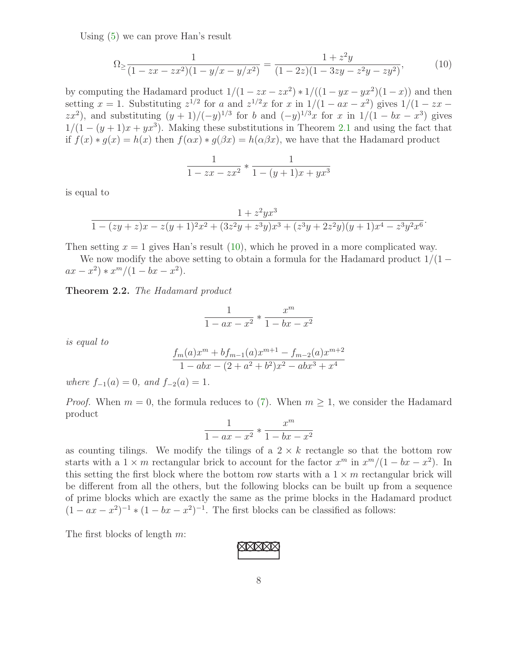Using [\(5\)](#page-1-3) we can prove Han's result

<span id="page-7-0"></span>
$$
\Omega_{\geq \frac{1}{(1 - zx - zx^2)(1 - y/x - y/x^2)}} = \frac{1 + z^2y}{(1 - 2z)(1 - 3zy - z^2y - zy^2)},\tag{10}
$$

by computing the Hadamard product  $1/(1 - zx - zx^2) * 1/((1 - yx - yx^2)(1 - x))$  and then setting  $x = 1$ . Substituting  $z^{1/2}$  for a and  $z^{1/2}x$  for x in  $1/(1 - ax - x^2)$  gives  $1/(1 - zx - x^2)$  $(zx^2)$ , and substituting  $(y+1)/(-y)^{1/3}$  for b and  $(-y)^{1/3}x$  for x in  $1/(1-bx-x^3)$  gives  $1/(1-(y+1)x+yx^3)$ . Making these substitutions in Theorem [2.1](#page-5-1) and using the fact that if  $f(x) * q(x) = h(x)$  then  $f(\alpha x) * q(\beta x) = h(\alpha \beta x)$ , we have that the Hadamard product

$$
\frac{1}{1 - zx - zx^2} * \frac{1}{1 - (y+1)x + yx^3}
$$

is equal to

$$
\frac{1+z^2yx^3}{1-(zy+z)x-z(y+1)^2x^2+(3z^2y+z^3y)x^3+(z^3y+2z^2y)(y+1)x^4-z^3y^2x^6}.
$$

Then setting  $x = 1$  gives Han's result [\(10\)](#page-7-0), which he proved in a more complicated way.

We now modify the above setting to obtain a formula for the Hadamard product  $1/(1$  $ax - x^2$  \*  $x^m/(1 - bx - x^2)$ .

Theorem 2.2. The Hadamard product

$$
\frac{1}{1 - ax - x^2} * \frac{x^m}{1 - bx - x^2}
$$

is equal to

$$
\frac{f_m(a)x^m + bf_{m-1}(a)x^{m+1} - f_{m-2}(a)x^{m+2}}{1 - abx - (2 + a^2 + b^2)x^2 - abx^3 + x^4}
$$

where  $f_{-1}(a) = 0$ , and  $f_{-2}(a) = 1$ .

*Proof.* When  $m = 0$ , the formula reduces to [\(7\)](#page-3-0). When  $m \geq 1$ , we consider the Hadamard product

$$
\frac{1}{1-ax-x^2} * \frac{x^m}{1-bx-x^2}
$$

as counting tilings. We modify the tilings of a  $2 \times k$  rectangle so that the bottom row starts with a  $1 \times m$  rectangular brick to account for the factor  $x^m$  in  $x^m/(1 - bx - x^2)$ . In this setting the first block where the bottom row starts with a  $1 \times m$  rectangular brick will be different from all the others, but the following blocks can be built up from a sequence of prime blocks which are exactly the same as the prime blocks in the Hadamard product  $(1 - ax - x^2)^{-1} * (1 - bx - x^2)^{-1}$ . The first blocks can be classified as follows:

The first blocks of length m:

$$
\boxtimes \boxtimes \boxtimes
$$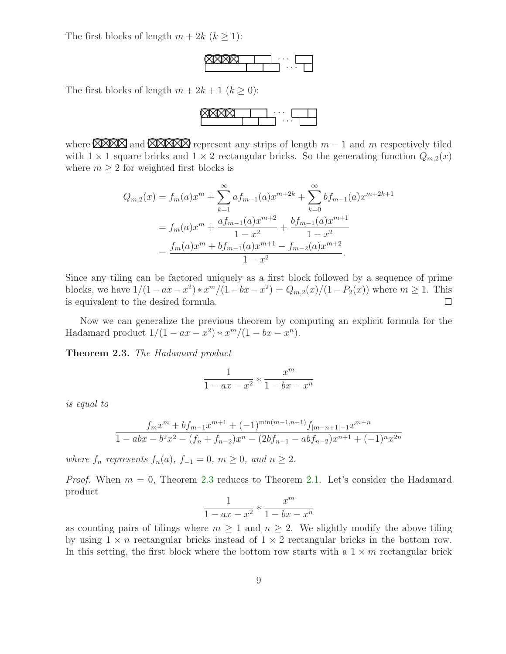The first blocks of length  $m + 2k$   $(k \geq 1)$ :

NNNN · · · · · ·

The first blocks of length  $m + 2k + 1$   $(k \ge 0)$ :

NNNN · · · · · ·

where  $X \times Y$  and  $X \times Y$  represent any strips of length  $m-1$  and m respectively tiled with  $1 \times 1$  square bricks and  $1 \times 2$  rectangular bricks. So the generating function  $Q_{m,2}(x)$ where  $m > 2$  for weighted first blocks is

$$
Q_{m,2}(x) = f_m(a)x^m + \sum_{k=1}^{\infty} af_{m-1}(a)x^{m+2k} + \sum_{k=0}^{\infty} bf_{m-1}(a)x^{m+2k+1}
$$
  
=  $f_m(a)x^m + \frac{af_{m-1}(a)x^{m+2}}{1-x^2} + \frac{bf_{m-1}(a)x^{m+1}}{1-x^2}$   
=  $\frac{f_m(a)x^m + bf_{m-1}(a)x^{m+1} - f_{m-2}(a)x^{m+2}}{1-x^2}.$ 

Since any tiling can be factored uniquely as a first block followed by a sequence of prime blocks, we have  $1/(1 - ax - x^2) * x^m/(1 - bx - x^2) = Q_{m,2}(x)/(1 - P_2(x))$  where  $m \ge 1$ . This is equivalent to the desired formula.  $\Box$ 

<span id="page-8-0"></span>Now we can generalize the previous theorem by computing an explicit formula for the Hadamard product  $1/(1 - ax - x^2) * x^m/(1 - bx - x^n)$ .

Theorem 2.3. The Hadamard product

$$
\frac{1}{1 - ax - x^2} * \frac{x^m}{1 - bx - x^n}
$$

is equal to

$$
\frac{f_mx^m + bf_{m-1}x^{m+1} + (-1)^{\min(m-1,n-1)}f_{|m-n+1|-1}x^{m+n}}{1 - abx - b^2x^2 - (f_n + f_{n-2})x^n - (2bf_{n-1} - abf_{n-2})x^{n+1} + (-1)^n x^{2n}}
$$

where  $f_n$  represents  $f_n(a)$ ,  $f_{-1} = 0$ ,  $m \ge 0$ , and  $n \ge 2$ .

*Proof.* When  $m = 0$ , Theorem [2.3](#page-8-0) reduces to Theorem [2.1.](#page-5-1) Let's consider the Hadamard product

$$
\frac{1}{1 - ax - x^2} * \frac{x^m}{1 - bx - x^n}
$$

as counting pairs of tilings where  $m \geq 1$  and  $n \geq 2$ . We slightly modify the above tiling by using  $1 \times n$  rectangular bricks instead of  $1 \times 2$  rectangular bricks in the bottom row. In this setting, the first block where the bottom row starts with a  $1 \times m$  rectangular brick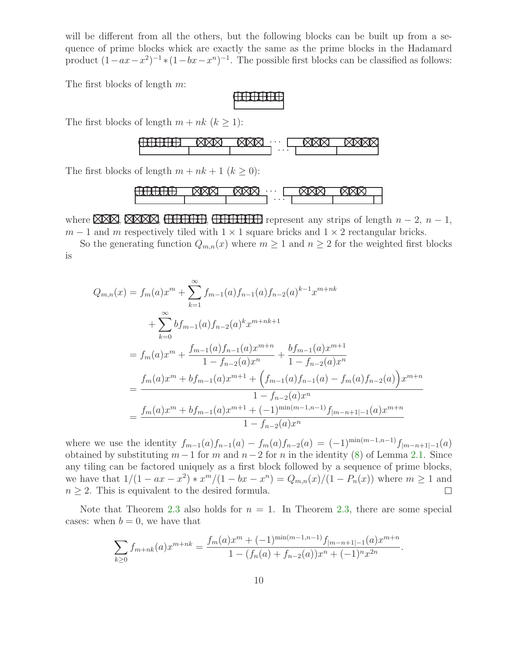will be different from all the others, but the following blocks can be built up from a sequence of prime blocks whick are exactly the same as the prime blocks in the Hadamard product  $(1 - ax - x^2)^{-1} * (1 - bx - x^n)^{-1}$ . The possible first blocks can be classified as follows:

The first blocks of length m:

accord

The first blocks of length  $m + nk$   $(k \ge 1)$ :



The first blocks of length  $m + nk + 1$   $(k \geq 0)$ :



where  $XX$ , XXX, HHHH, HHHHH represent any strips of length  $n-2$ ,  $n-1$ ,  $m-1$  and m respectively tiled with  $1 \times 1$  square bricks and  $1 \times 2$  rectangular bricks.

So the generating function  $Q_{m,n}(x)$  where  $m \geq 1$  and  $n \geq 2$  for the weighted first blocks is

$$
Q_{m,n}(x) = f_m(a)x^m + \sum_{k=1}^{\infty} f_{m-1}(a)f_{n-1}(a)f_{n-2}(a)^{k-1}x^{m+nk}
$$
  
+ 
$$
\sum_{k=0}^{\infty} bf_{m-1}(a)f_{n-2}(a)^kx^{m+nk+1}
$$
  
= 
$$
f_m(a)x^m + \frac{f_{m-1}(a)f_{n-1}(a)x^{m+n}}{1 - f_{n-2}(a)x^n} + \frac{bf_{m-1}(a)x^{m+1}}{1 - f_{n-2}(a)x^n}
$$
  
= 
$$
\frac{f_m(a)x^m + bf_{m-1}(a)x^{m+1} + (f_{m-1}(a)f_{n-1}(a) - f_m(a)f_{n-2}(a))x^{m+n}}{1 - f_{n-2}(a)x^n}
$$
  
= 
$$
\frac{f_m(a)x^m + bf_{m-1}(a)x^{m+1} + (-1)^{\min(m-1,n-1)}f_{|m-n+1|-1}(a)x^{m+n}}{1 - f_{n-2}(a)x^n}
$$

where we use the identity  $f_{m-1}(a) f_{n-1}(a) - f_m(a) f_{n-2}(a) = (-1)^{\min(m-1,n-1)} f_{|m-n+1|-1}(a)$ obtained by substituting  $m-1$  for m and  $n-2$  for n in the identity [\(8\)](#page-4-0) of Lemma [2.1.](#page-3-1) Since any tiling can be factored uniquely as a first block followed by a sequence of prime blocks, we have that  $1/(1 - ax - x^2) * x^m/(1 - bx - x^n) = Q_{m,n}(x)/(1 - P_n(x))$  where  $m \ge 1$  and  $n \geq 2$ . This is equivalent to the desired formula.  $\Box$ 

Note that Theorem [2.3](#page-8-0) also holds for  $n = 1$ . In Theorem [2.3,](#page-8-0) there are some special cases: when  $b = 0$ , we have that

$$
\sum_{k\geq 0} f_{m+nk}(a)x^{m+nk} = \frac{f_m(a)x^m + (-1)^{\min(m-1,n-1)}f_{|m-n+1|-1}(a)x^{m+n}}{1 - (f_n(a) + f_{n-2}(a))x^n + (-1)^n x^{2n}}.
$$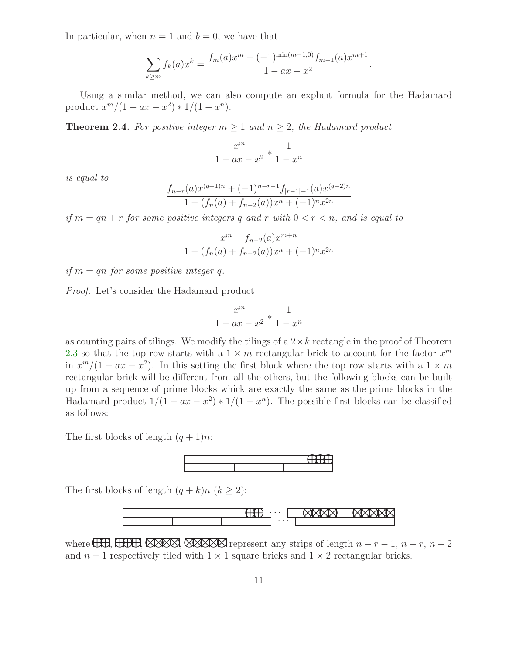In particular, when  $n = 1$  and  $b = 0$ , we have that

$$
\sum_{k \ge m} f_k(a)x^k = \frac{f_m(a)x^m + (-1)^{\min(m-1,0)} f_{m-1}(a)x^{m+1}}{1 - ax - x^2}.
$$

<span id="page-10-0"></span>Using a similar method, we can also compute an explicit formula for the Hadamard product  $x^m/(1 - ax - x^2) * 1/(1 - x^n)$ .

**Theorem 2.4.** For positive integer  $m \geq 1$  and  $n \geq 2$ , the Hadamard product

$$
\frac{x^m}{1 - ax - x^2} * \frac{1}{1 - x^n}
$$

is equal to

$$
\frac{f_{n-r}(a)x^{(q+1)n} + (-1)^{n-r-1}f_{|r-1|-1}(a)x^{(q+2)n}}{1 - (f_n(a) + f_{n-2}(a))x^n + (-1)^n x^{2n}}
$$

if  $m = qn + r$  for some positive integers q and r with  $0 < r < n$ , and is equal to

$$
\frac{x^{m} - f_{n-2}(a)x^{m+n}}{1 - (f_n(a) + f_{n-2}(a))x^{n} + (-1)^{n}x^{2n}}
$$

if  $m = qn$  for some positive integer q.

Proof. Let's consider the Hadamard product

$$
\frac{x^m}{1 - ax - x^2} * \frac{1}{1 - x^n}
$$

as counting pairs of tilings. We modify the tilings of a  $2 \times k$  rectangle in the proof of Theorem [2.3](#page-8-0) so that the top row starts with a  $1 \times m$  rectangular brick to account for the factor  $x^m$ in  $x^m/(1 - ax - x^2)$ . In this setting the first block where the top row starts with a  $1 \times m$ rectangular brick will be different from all the others, but the following blocks can be built up from a sequence of prime blocks whick are exactly the same as the prime blocks in the Hadamard product  $1/(1 - ax - x^2) * 1/(1 - x^n)$ . The possible first blocks can be classified as follows:

The first blocks of length  $(q + 1)n$ :



The first blocks of length  $(q + k)n$   $(k \geq 2)$ :



where  $\Box$ ,  $\Box$   $\Box$ ,  $\Box$   $\Box$   $\Box$ ,  $\Box$   $\Box$   $\Box$   $\Box$  represent any strips of length  $n-r-1$ ,  $n-r$ ,  $n-2$ and  $n-1$  respectively tiled with  $1 \times 1$  square bricks and  $1 \times 2$  rectangular bricks.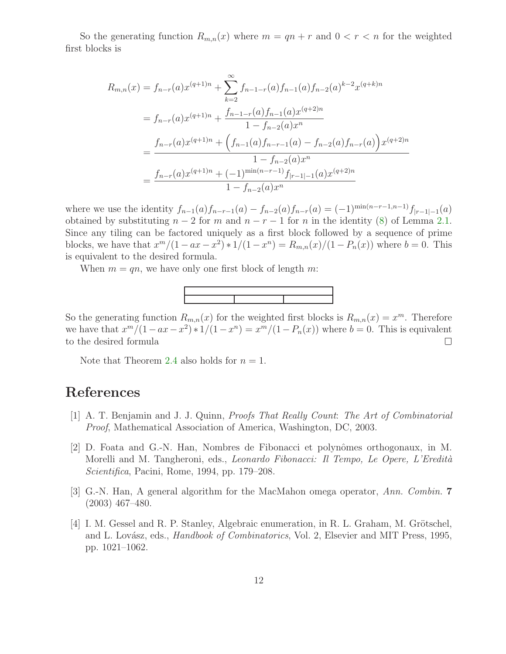So the generating function  $R_{m,n}(x)$  where  $m = qn + r$  and  $0 < r < n$  for the weighted first blocks is

$$
R_{m,n}(x) = f_{n-r}(a)x^{(q+1)n} + \sum_{k=2}^{\infty} f_{n-1-r}(a)f_{n-1}(a)f_{n-2}(a)^{k-2}x^{(q+k)n}
$$
  
=  $f_{n-r}(a)x^{(q+1)n} + \frac{f_{n-1-r}(a)f_{n-1}(a)x^{(q+2)n}}{1 - f_{n-2}(a)x^n}$   
= 
$$
\frac{f_{n-r}(a)x^{(q+1)n} + (f_{n-1}(a)f_{n-r-1}(a) - f_{n-2}(a)f_{n-r}(a))x^{(q+2)n}}{1 - f_{n-2}(a)x^n}
$$
  
= 
$$
\frac{f_{n-r}(a)x^{(q+1)n} + (-1)^{\min(n-r-1)}f_{|r-1|-1}(a)x^{(q+2)n}}{1 - f_{n-2}(a)x^n}
$$

where we use the identity  $f_{n-1}(a)f_{n-r-1}(a) - f_{n-2}(a)f_{n-r}(a) = (-1)^{\min(n-r-1,n-1)}f_{|r-1|-1}(a)$ obtained by substituting  $n-2$  for m and  $n-r-1$  for n in the identity [\(8\)](#page-4-0) of Lemma [2.1.](#page-3-1) Since any tiling can be factored uniquely as a first block followed by a sequence of prime blocks, we have that  $x^m/(1 - ax - x^2) * 1/(1 - x^n) = R_{m,n}(x)/(1 - P_n(x))$  where  $b = 0$ . This is equivalent to the desired formula.

When  $m = qn$ , we have only one first block of length m:



So the generating function  $R_{m,n}(x)$  for the weighted first blocks is  $R_{m,n}(x) = x^m$ . Therefore we have that  $x^m/(1 - ax - x^2) * 1/(1 - x^n) = x^m/(1 - P_n(x))$  where  $b = 0$ . This is equivalent to the desired formula  $\Box$ 

Note that Theorem [2.4](#page-10-0) also holds for  $n = 1$ .

#### <span id="page-11-0"></span>References

- <span id="page-11-1"></span>[1] A. T. Benjamin and J. J. Quinn, Proofs That Really Count: The Art of Combinatorial Proof, Mathematical Association of America, Washington, DC, 2003.
- [2] D. Foata and G.-N. Han, Nombres de Fibonacci et polynômes orthogonaux, in M. Morelli and M. Tangheroni, eds., Leonardo Fibonacci: Il Tempo, Le Opere, L'Eredità Scientifica, Pacini, Rome, 1994, pp. 179–208.
- <span id="page-11-2"></span>[3] G.-N. Han, A general algorithm for the MacMahon omega operator, Ann. Combin. 7 (2003) 467–480.
- <span id="page-11-3"></span>[4] I. M. Gessel and R. P. Stanley, Algebraic enumeration, in R. L. Graham, M. Grötschel, and L. Lovász, eds., *Handbook of Combinatorics*, Vol. 2, Elsevier and MIT Press, 1995, pp. 1021–1062.